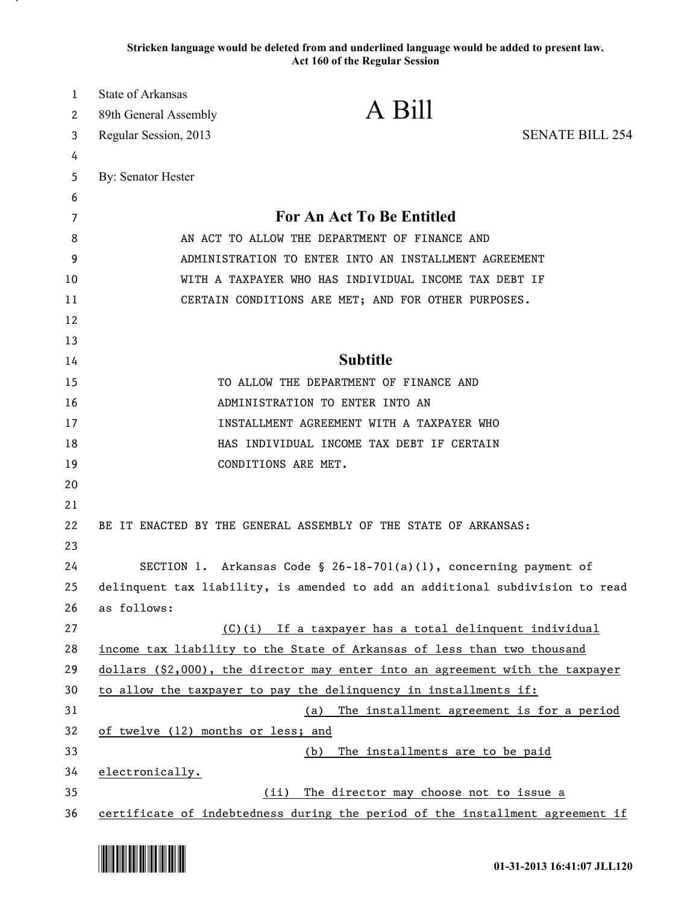**Stricken language would be deleted from and underlined language would be added to present law. Act 160 of the Regular Session**

| 1        | <b>State of Arkansas</b>                                                        |                                                                         |                        |
|----------|---------------------------------------------------------------------------------|-------------------------------------------------------------------------|------------------------|
| 2        | 89th General Assembly                                                           | A Bill                                                                  |                        |
| 3        | Regular Session, 2013                                                           |                                                                         | <b>SENATE BILL 254</b> |
| 4        |                                                                                 |                                                                         |                        |
| 5        | By: Senator Hester                                                              |                                                                         |                        |
| 6        |                                                                                 |                                                                         |                        |
| 7        | <b>For An Act To Be Entitled</b>                                                |                                                                         |                        |
| 8        | AN ACT TO ALLOW THE DEPARTMENT OF FINANCE AND                                   |                                                                         |                        |
| 9        | ADMINISTRATION TO ENTER INTO AN INSTALLMENT AGREEMENT                           |                                                                         |                        |
| 10       | WITH A TAXPAYER WHO HAS INDIVIDUAL INCOME TAX DEBT IF                           |                                                                         |                        |
| 11       | CERTAIN CONDITIONS ARE MET; AND FOR OTHER PURPOSES.                             |                                                                         |                        |
| 12       |                                                                                 |                                                                         |                        |
| 13       |                                                                                 |                                                                         |                        |
| 14       | <b>Subtitle</b>                                                                 |                                                                         |                        |
| 15       |                                                                                 | TO ALLOW THE DEPARTMENT OF FINANCE AND                                  |                        |
| 16       |                                                                                 | ADMINISTRATION TO ENTER INTO AN                                         |                        |
| 17       |                                                                                 | INSTALLMENT AGREEMENT WITH A TAXPAYER WHO                               |                        |
| 18<br>19 |                                                                                 | HAS INDIVIDUAL INCOME TAX DEBT IF CERTAIN<br>CONDITIONS ARE MET.        |                        |
| 20       |                                                                                 |                                                                         |                        |
| 21       |                                                                                 |                                                                         |                        |
| 22       |                                                                                 | BE IT ENACTED BY THE GENERAL ASSEMBLY OF THE STATE OF ARKANSAS:         |                        |
| 23       |                                                                                 |                                                                         |                        |
| 24       |                                                                                 | SECTION 1. Arkansas Code § 26-18-701(a)(1), concerning payment of       |                        |
| 25       | delinquent tax liability, is amended to add an additional subdivision to read   |                                                                         |                        |
| 26       | as follows:                                                                     |                                                                         |                        |
| 27       |                                                                                 | (C)(i) If a taxpayer has a total delinquent individual                  |                        |
| 28       |                                                                                 | income tax liability to the State of Arkansas of less than two thousand |                        |
| 29       | $dollars$ (\$2,000), the director may enter into an agreement with the taxpayer |                                                                         |                        |
| 30       | to allow the taxpayer to pay the delinquency in installments if:                |                                                                         |                        |
| 31       |                                                                                 | The installment agreement is for a period<br>(a)                        |                        |
| 32       | of twelve (12) months or less; and                                              |                                                                         |                        |
| 33       | The installments are to be paid<br>(b)                                          |                                                                         |                        |
| 34       | electronically.                                                                 |                                                                         |                        |
| 35       | The director may choose not to issue a<br>(iii)                                 |                                                                         |                        |
| 36       | certificate of indebtedness during the period of the installment agreement if   |                                                                         |                        |